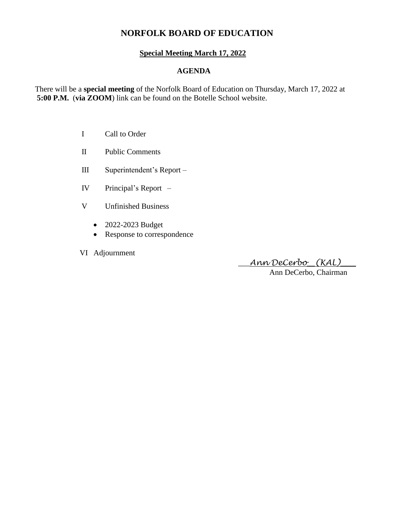# **NORFOLK BOARD OF EDUCATION**

## **Special Meeting March 17, 2022**

## **AGENDA**

There will be a **special meeting** of the Norfolk Board of Education on Thursday, March 17, 2022 at **5:00 P.M.** (**via ZOOM**) link can be found on the Botelle School website.

- I Call to Order
- II Public Comments
- III Superintendent's Report –
- IV Principal's Report –
- V Unfinished Business
	- 2022-2023 Budget
	- Response to correspondence
- VI Adjournment

\_\_\_*Ann DeCerbo*\_\_*(KAL)*\_\_\_\_

Ann DeCerbo, Chairman